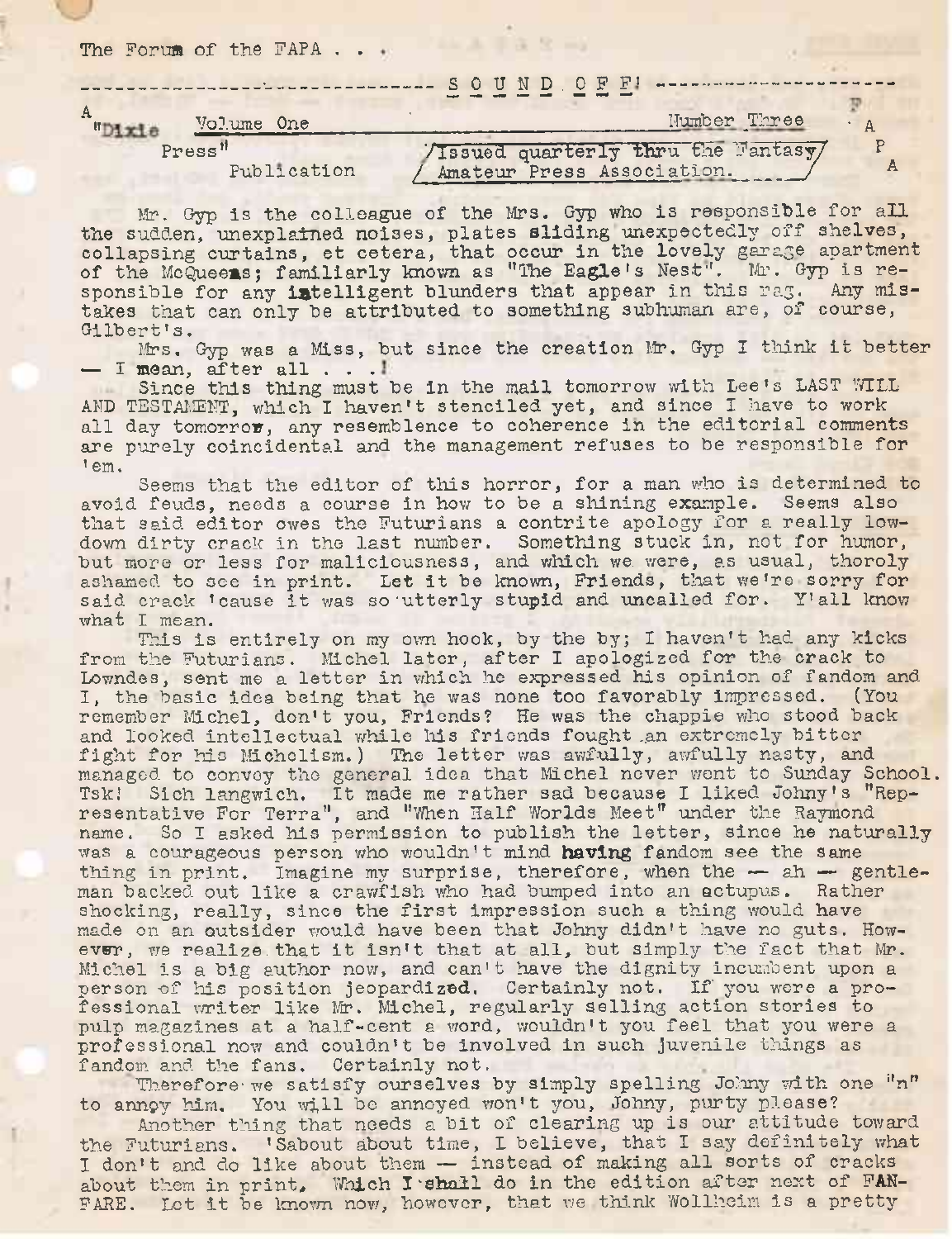The Forum of the  $\text{FAPA}$  ...

| -- SOUND. OF F! --------                                     |              |
|--------------------------------------------------------------|--------------|
| Volume One                                                   | Number Three |
| /Issued quarterly thru the Fantasy/<br>Press"<br>Publication |              |

Mr. Gyp is the colleague of the Mrs. Gyp who is responsible for all the sudden, unexplained noises, plates sliding unexpectedly off shelves, collapsing curtains, et cetera, that occur in the lovely garage apartment of the McQueens; familiarly known as "The Eagle's Nest". Mr. Gyp is re-<br>sponsible for any intelligent blunders that appear in this rag. Any missponsible for any intelligent blunders that appear in this rag. takes that can only be attributed to something subhuman are, of course, Gilbert's.

Mrs. Gyp was <sup>a</sup> Miss, but since the creation Mr. Gyp <sup>I</sup> think it better  $-$  I mean, after all  $\ldots$ 

Since this thing must be in the mail tomorrow with Lee's LAST WILL AND TESTAMENT, which I haven't stenciled yet, and since I have to work all day tomorrow, any resemblence to coherence in the editorial comments are purely coincidental and the management refuses to be responsible for ' em.

Seems that the editor of this horror, for a man who is determined to avoid feuds, needs a course in how to be a shining example. Seems also that said editor owes the Futurians a contrite apology for a really lowdown dirty crack in the last number. Something stuck in, not for humor, but more or less for maliciousness, and which we. were, as usual, thoroly ashamed to see in print. Let it be known, Friends, that we're sorry for said crack 'cause it was so utterly stupid and uncalled for. Y'all know what I mean.

This is entirely on my own hook, by the by; I haven't had any kicks from the Futurians. Michel later, after I apologized for the crack to Lowndes, sent me a letter in which he expressed his opinion of fandom and I, the basic idea being that he was none too favorably impressed. (You remember Michel, don't you, Friends? He was the chappie who stood back and looked intellectual while his friends fought an extremely bitter fight for his Michclism.) The letter was awfully, awfully nasty, and managed to convoy the general idea that Michel never went to Sunday School, Tsk.' Sich langwich. It made me rather sad because I liked Johny'<sup>s</sup> "Representative For Terra", and ''When Half Worlds Meet" under the Raymond name. So I asked his permission to publish the letter, since he naturally was a courageous person who wouldn't mind having fandom see the same thing in print. Imagine my surprise, therefore, when the — ah — gentleman backed out like a crawfish who had bumped into an actupus. Rather shocking, really, since the first impression such <sup>a</sup> thing would have made on an outsider would have been that Johny didn't have no guts. However, we realize that it isn't that at all, but simply the fact that Mr. Michel is a big author now, and can't have the dignity incumbent upon <sup>a</sup> person of his position jeopardized. Certainly not. If you were a professional writer like Nr. Michel, regularly selling action stories to pulp magazines at a half-cent <sup>a</sup> word, wouldn't you feel that you were <sup>a</sup> professional now and couldn't be involved in such juvenile things as fandom and the fans. Certainly not.

Therefore we satisfy ourselves by simply spelling Johny with one "n" to annpy him. You will be annoyed won't you, Johny, purty please?

Another thing that needs <sup>a</sup> bit of clearing up is our attitude toward the Futurians. 'Sabout about time, I believe, that I say definitely what I don't and do like about them — instead of making all sorts of cracks about them in print. Which I shall do in the edition after next of FAN-FARE. Let it be known now, however, that we think Wollheim is a pretty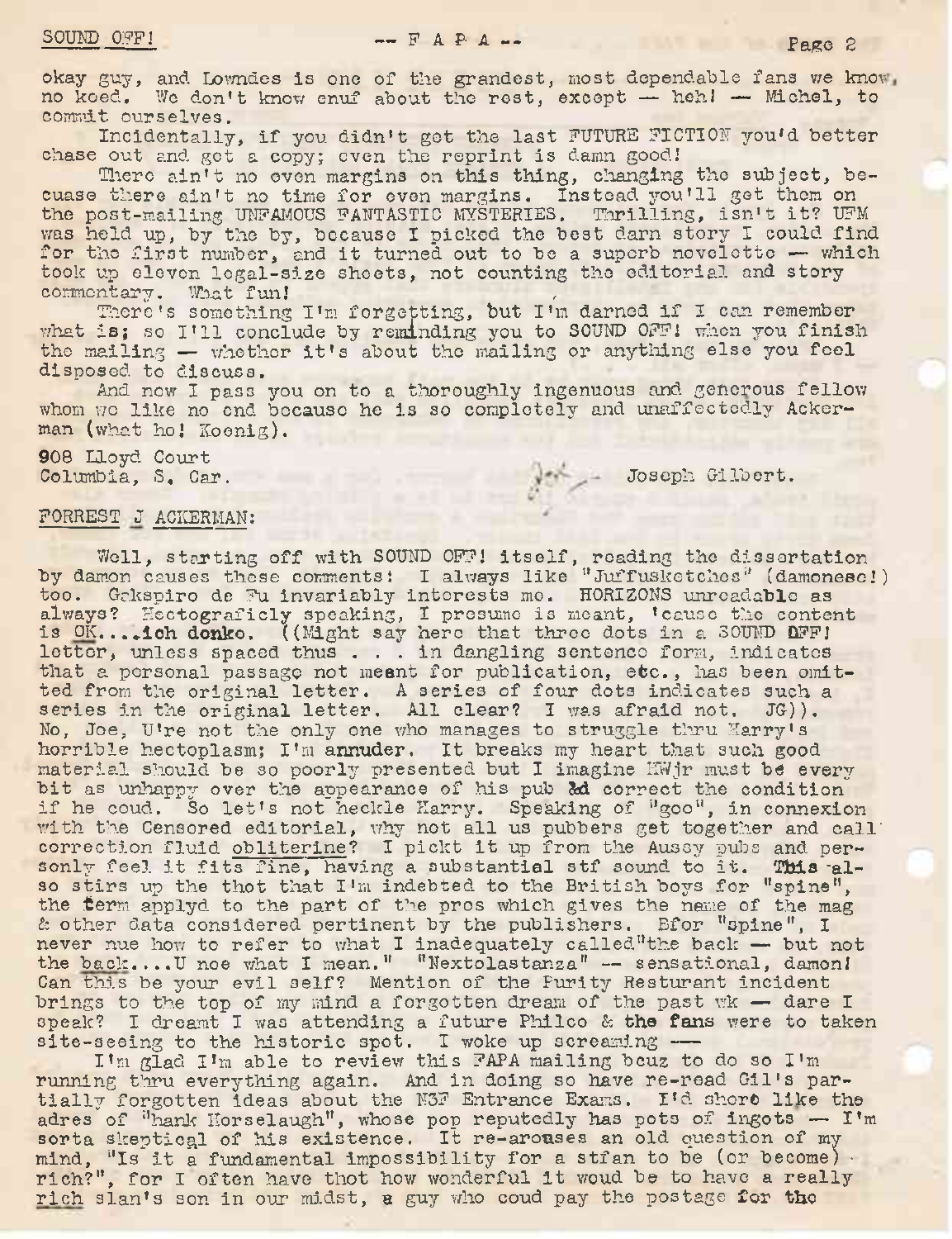okay guy, and Lowndes is one of the grandest, most dependable fans we know. no keed. We don't know enuf about the rest, except — heh! — Michel, to commit ourselves.

Incidentally, if you didn't get the last FUTURE FICTION you'<sup>d</sup> better chase out and get a copy; even the reprint is damn good.'

There ain't no even margins on this thing, changing the subject, becuase there ain't no time for even margins. Instead you'll got them on the post-mailing UNFAMOUS FANTASTIC MYSTERIES. Thrilling, isn't it? UFM was held up, by the by, because I picked the best darn story I could find for the first number, and it turned out to be a superb novelette  $-$  which took up eleven legal-size sheets, not counting the editorial and story commentary. What fun!

There'<sup>s</sup> something I'<sup>m</sup> forgetting, but I'<sup>m</sup> darned if <sup>I</sup> can remember There's something I'm forgetting, but I'm darned if I can remember<br>what is; so I'll conclude by reminding you to SOUND OFF! when you finish whet is; so I'll conclude by reminding you to SOUND OFF! when you finis<br>the mailing — whether it's about the mailing or anything else you feel the mailing - whether it's about the mailing or anything else you feel<br>disposed to discuss.

And now I pass you on to a thoroughly ingenuous and generous fellow whom we like no end because he is so completely and unaffectedly Ackerman (what ho! Koenig).

908 Lloyd Court

Columbia, S. Car. Joseph Gilbert.

## FORREST J ACKERMAN:

Well, starting off with SOUND OFF! itself, reading the dissertation by damon causes these comments: I always like "Juffusketches" (damonese!) too. Gakspiro de Fu invariably interests mo. HORIZONS unreadable as always? Hectograficly speaking, I presume is meant, 'cause the content always? Hectograficly speaking, I presume is meant, 'cause the conte<br>is OK....ich donko. ((Might say hero that three dots in a SOUND OFF)<br>letter, unless spaced thus ... in dangling sentence form, indicates<br>that a norsonal letter, unless spaced thus . . . in dangling sentence form, indicates that a personal passage not meant for publication, etc., has been omitted from the original letter. A series of four dots indicates such a series in the original letter. A series of four dots indicates such series in the original letter. All clear? I was afraid not. JG)). No, Joe, U're not the only one who manages to struggle thru Harry's horrible hectoplasm; I'<sup>m</sup> annuder. It breaks my heart that such good horrible hectoplasm; I'm annuder. It breaks my heart that such good material should be so poorly presented but I imagine HWjr must be every bit as unhappy over the appearance of his pub & correct the condition if he coud. So let's not heckle Harry. Speaking of "goo", in connexion with the Censored editorial, why not all us pubbers get together and call correction fluid obliterine? I pickt it up from the Aussy pubs and percorrection fluid oblitering? I pickt it up from the Aussy pubs and per-<br>sonly feel it fits fine, having a substantial stf sound to it. This alsonly feel it fits fine, having a substantial stf sound to it. This also stirs up the thot that I'm indebted to the British boys for "spine", so stirs up the thot that I'm indebted to the British boys for "spine", the term applyd to the part of the pros which gives the name of the mag & other data considered pertinent by the publishers. Bfor "spine", I never nue how to refer to what I inadequately called the back — but not never nue how to refer to what I inadequately called the back - but no<br>the back....U noe what I mean." "Nextolastanza" -- sensational, damon! Can this be your evil self? Mention of the Purity Resturant incident brings to the top of my mind a forgotten dream of the past wk — dare I speak? I dreamt I was attending a future Philco & the fans were to taken site-seeing to the historic spot. I woke up screaming -

I'<sup>m</sup> glad I'<sup>m</sup> able to review this FAPA mailing bcuz to do so I'<sup>m</sup> running thru everything again. And in doing so have re-read Gil's par-<br>tially forgotten ideas about the N3F Entrance Exams. I'd short like the tially forgotten ideas about the N3F Entrance Exams. I'd short like the adres of "hank Horselaugh", whose pop reputedly has pots of ingots  $-$  I'm sorta skeptical of his existence. It re-arouses an old question of my mind, "Is it <sup>a</sup> fundamental impossibility for <sup>a</sup> stfan to be (or become) • rich?", for I often have thot how wonderful it woud be to have <sup>a</sup> really rich slan'<sup>s</sup> son in our midst, a guy who coud pay the postage for the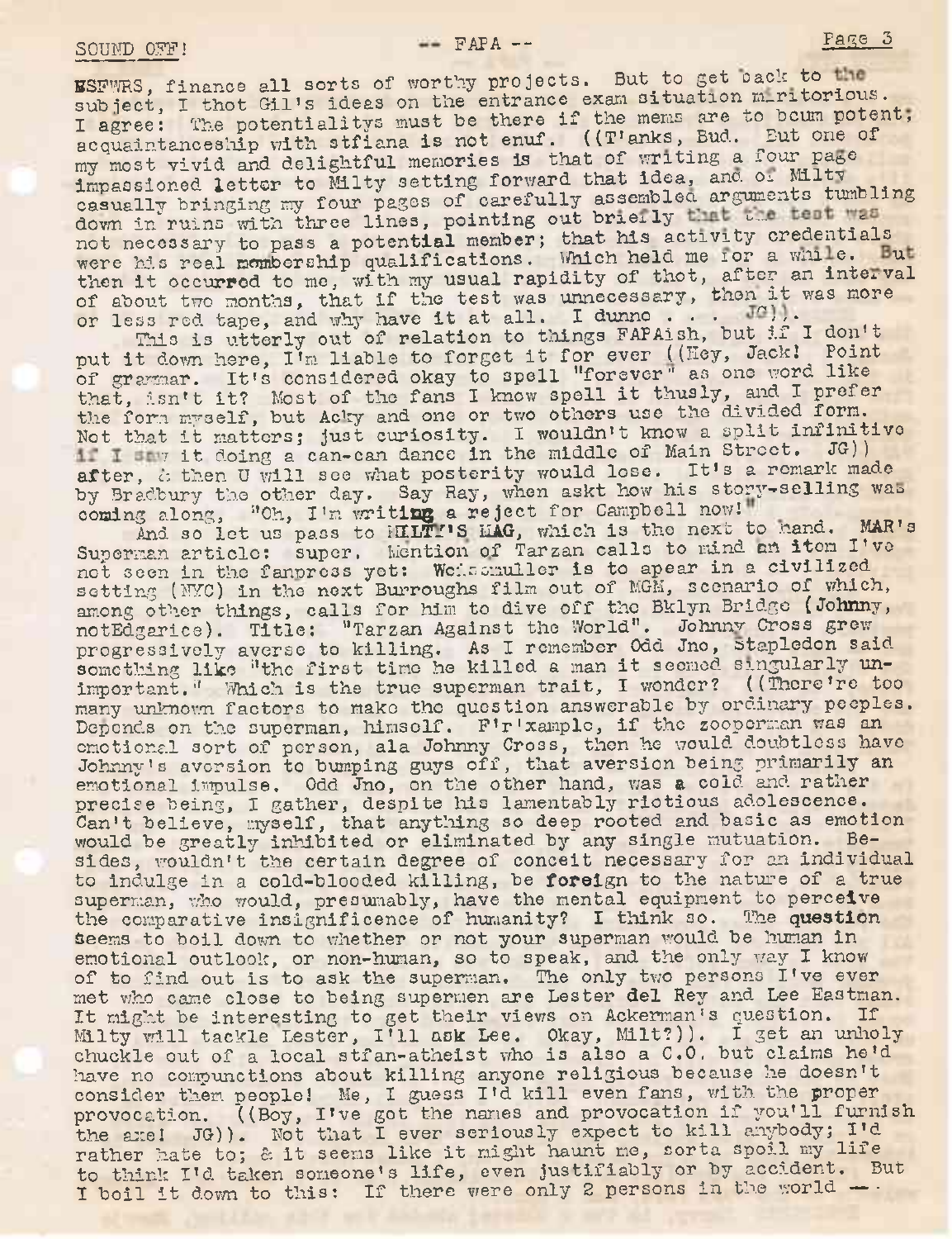ESFWRS, finance all sorts of worthy projects. But to get pack to the subject, I thot Gil's ideas on the entrance exam situation miritorious. I agree: The potentialitys must be there if the mems are to bcum potent, acquaintanceship with stfiana is not enuf. ((T'anks, Bud. Eut one of my most vivid and delightful memories is that of writing a four page impassioned letter to Milty setting forward that idea, and or Milty casually bringing my four pages of carefully assembled arguments tumbling down in ruins with three lines, pointing out briefly that the test was not necessary to pass a potential member; that his activity credentials were his real mombership qualifications. Which held me lor a while. But then it occurred to me, with my usual rapidity of thot, after an interval then it occurred to me, with my usual rapidly of thee, alleg an inceror less red tape, and why have it at all. I dunno . . .  $J^{\alpha})$ . Ince lines, pointing out brielly the the test sample of a spotential member; that his activity credentship qualifications. Which held me for a while me, with my usual rapidity of thot, after an in that if the test was unne

ss red tape, and why have it at all. I dunne...<br>This is utterly out of relation to things FAPAish, but if I don't This is utterly out of relation to things FAPAish, but if I don't<br>put it down here, I'm liable to forget it for ever ((Hey, Jack! Point put it down here, I'm liable to forget it for ever ((hey, Jack: Point)<br>of grammar. It's considered okay to spell "forever" as one word like of grammar. It's considered okay to spell "forever" as one word fine<br>that, isn't it? Most of the fans I know spell it thusly, and I prefer the form myself, but Acky and one or two others use the divided form. the form myself, but Acky and one or two others use the divided form:<br>Not that it matters; just curiosity. I wouldn't know a split infinitive t it matters; just curiosity. I wouldn't know a spill iminite<br>7 it doing a can-can dance in the middle of Main Street. JG) i I do ing a can-can dance in the middle of Main Street. JG))<br>after, cothen U will see what posterity would lose. It's a remark made by Bradbury the other day. Say Ray, when askt how his story-selling was coming along, "Oh, I'm writing a reject for Campbell now!"

And so let us pass to HILTI'S HAG, which is the next to hand. MAR's Superman article: super. Mention of Tarzan calls to mind an item I've not seen in the fannress yet: Weissmuller is to apear in a civilized setting (NYC) in the next Burroughs film out of MGM, scenario of which, among other things, calls for him to dive off the Bklyn Bridge (Johnny, notEdgarice). Title: "Tarzan Against the World". Johnnv Cross grew progressively averse to killing. As I remember Odd Jno, Stapledon said something like "the first time he killed a man it seemed singularly unimportant." Which is the true superman trait, I wonder? ((There're too many unknown factors to make the question answerable by ordinary peeples.<br>Depends on the superman, himself. F'r'xample, if the zooperman was an Depends on the superman, himself. F'r'xample, if the zooperman was an emotional sort of person, ala Johnny Cross, then he would doubtless have Johnny'<sup>s</sup> aversion to bumping guys off, that aversion being primarily an emotional impulse, Odd Jno, on the other hand, was a cold and rather precise being, I gather, despite his lamentably riotious adolescence. Can't believe, myself, that anything so deep rooted and basic as emotion would be greatly inhibited or eliminated by any single mutuation. Besides, wouldn't the certain degree of conceit necessary for an Individual to indulge in a cold-blooded killing, be foreign to thé nature of a true superman, who would, presumably, have the mental equipment to perceive the comparative insignificence of humanity? I think so. The question the comparative insignificence of humanity? I think so. seems to boil down to whether or not your superman would be human in emotional outlook, or non-human, so to speak, and the only way I know of to find out is to ask the superman. The only two persons I've ever met who came close to being supermen are Lester del Rey and Lee Eastman. It might be interesting to get their views on Ackerman's question. If Mllty will tackle Lester, I'll ask Lee. Okay, Milt?)). <sup>I</sup> get an unholy chuckle out of a local stfan-atheist who is also a C.O. but claims he'<sup>d</sup> have no compunctions about killing anyone religious because he doesn't consider them, people! Me, <sup>I</sup> guess I'<sup>d</sup> kill even fans, with the proper provocation. ((Boy, I've got the names and provocation if you'll furnish the axe! JG)). Not that <sup>I</sup> ever seriously expect to kill anybody; I'<sup>d</sup> rather hate to; & it seems like it might haunt me, sorta spoil my life to think I'<sup>d</sup> taken someone'<sup>s</sup> life, even justifiably or by accident. But I boil it down to this: If there were only 2 persons in the world -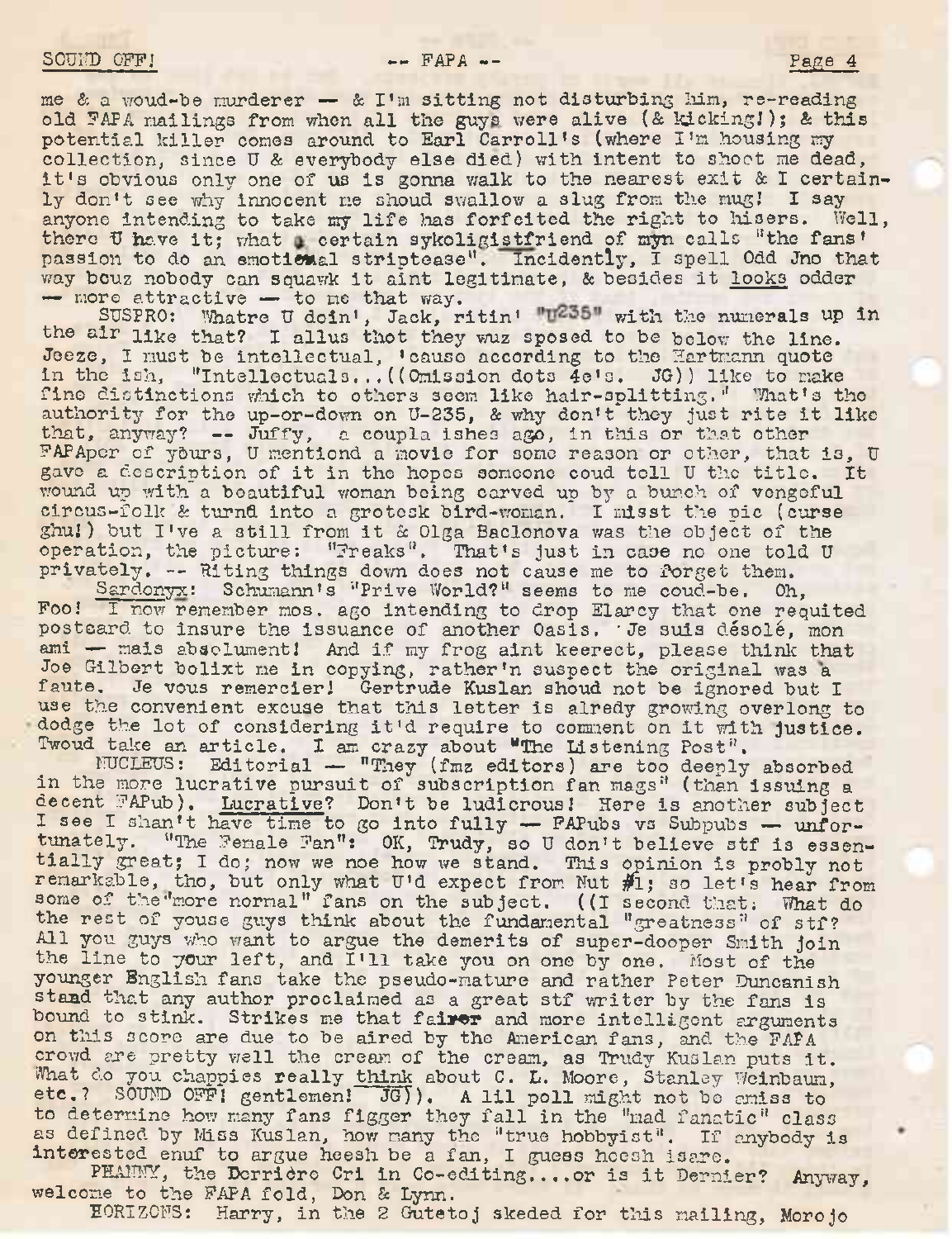me & a woud-be murderer  $-$  & I'm sitting not disturbing him, re-reading old PAPA mailings from when all the guys were alive (& kicking!); & this potential killer comes around to Earl Carroll'<sup>s</sup> (where I'<sup>m</sup> housing my collection, since <sup>U</sup> à everybody else died) with intent to shoot me dead, it'<sup>s</sup> obvious only one of us is gonna walk to the nearest exit <sup>à</sup> <sup>I</sup> certainly don't see why innocent me shoud swallow a slug from the mug! I say anyone intending to take my life has forfeited the right to hisers. Well, anyone intending to take my life has forferted the right to hisers. Well<br>there U have it; what certain sykoligistfriend of myn calls "the fans' passion to do an emotional striptease". Incidently, I spell Odd Jno that way bcuz nobody can squawk it aint legitimate, & besides it looks odder — more attractive — to me that way.

SUSPRO: Whatre U doin', Jack, ritin' "U235" with the numerals up in the air like that? I alius thot they wuz sposed to be below the line. Jeeze, I must be intellectual, 'cause according to the Hartmann quote Jeeze, I must be intellectual, 'cause according to the Hartmann quote<br>in the ish, "Intellectuals...((Omission dots 4e's. JG)) like to make in the ish, "Intellectuals... ((Omission dots  $4e1s$ . JG)) like to make fine distinctions which to others seem like hair-splitting." What's the authority for the up-or-down on U-235, & why don't they just rite it like that, anyway? — Juffy, a coupla ishes ago, in this or that other FAPApcr of yôurs, <sup>U</sup> mentiond a movie for some reason or other, that is, <sup>U</sup> gave <sup>a</sup> description of it in tho hopes someone coud toll <sup>U</sup> the title. It wound up with a beautiful woman being carved up by a bunch of vengeful circus-folk & turnd into a grotosk bird-woman. I misst the pic (curse ghuj) but I've <sup>a</sup> still from it <sup>à</sup> Olga Baclonova was the object of the operation, the picture: "Freaks". That's just in case no one told U privately. — Riting things down does not cause me to forget them.

Sardonyx: Schumann's "Prive World?" seems to me coud-be. Oh, Foo.' I now remember mos. ago intending to drop Elarcy that one requited postcard to insure the issuance of another Oasis. • Je suis désolé, mon ami - mais absolument! And if my frog aint keerect, please think that Joe Gilbert bolixt me in copying, rather'n suspect the original was <sup>a</sup> faute. Je vous remercier] Gertrude Kuslan shoud not be ignored but I radict. Se vous remercier; Gertrude Rusian shoud hot be ighored but I use the convenient excuse that this letter is alredy growing overlong to dodge the lot of considering it'd require to comment on it with justice. Twoud take an article. I am crazy about "The Listening Post".

NUCLEUS: Editorial — "They (fmz editors) are too deeply absorbed in the more lucrative pursuit of subscription fan mags" (than issuing a decent FAPub). Lucrative? Don't be ludicrous] Here is another subject I see I shan't have time to go into fully - FAPubs vs Subpubs - unfortunately. "The Female Fan": OK, Trudy, so U don't believe stf is essentially great; I do; now we noe how we stand. This opinion is probly not clairy great; I do; how we noe how we stand. This opinion is probly not<br>remarkable, tho, but only what U'd expect from Nut  $\#1$ ; so let's hear from some of the more normal" fans on the subject. ((I second that; What do the rest of youse guys think about the fundamental "greatness" of stf? All you guys who want to argue the demerits of super-dooper Smith join<br>the line to your left, and I'll take you on one by one. Most of the younger English fans take the pseudo-mature and rather Peter Duncanish stand that any author proclaimed as <sup>a</sup> great stf writer by the fans is bound.to stink. Strikes me that **fairer** and more intelligent arguments on this score are due to be aired by the American fans, and the FAPA crowd are pretty well the cream of the cream, as Trudy Kuslan puts it. What do you chappies really think about C. L. Moore, Stanley Weinbaum, etc.? SOUND OFFI gentlemen! JG)). A lil poll might not be amiss to to determine how many fans figger they fall in the "mad fanatic" class as defined by Miss Kuslan, how many the "true hobbyist". If anybody is interested enuf to argue heesh be a fan, I guess hoesh isare.

PHANNY, the Derrière Cri in Co-editing....or is it Dernier? Anyway, welcome to the FAPA fold, Don & Lynn.

EORIZONS: Harry, in the <sup>2</sup> Gutetoj skeded for this mailing, Moro jo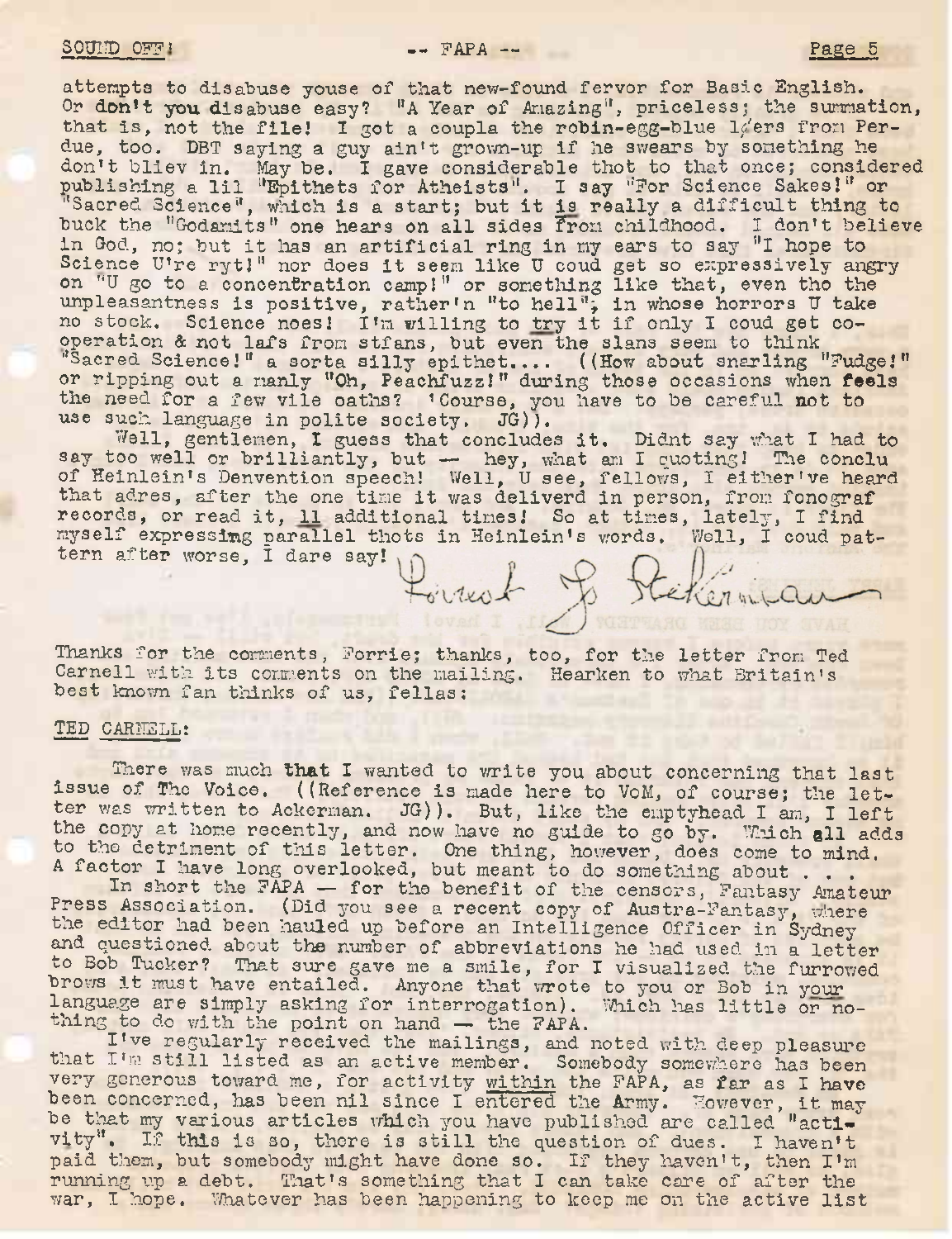buck the "Godamits" one hears on all sides from childhood. I don't believe buck the "wodamits" one hears on all sides from<br>in God, no; but it has an artificial ring in my in God, no; but it has an artificial ring in my ears to say "I hope to Science U're ryt!" nor does it seem like U coud get so expressively an on "U go to a concentration camp!" or something unpleasantness is positive, rather'n "to hell";<br>no stock. Science noes! I'm willing to try it operation à not lafs from stfans attempts to disabuse youse of that new-found fervor for Basic English. Or don't you disabuse easy? "A Year of Amazing", priceless; the summation, that is, not the file! I got a coupla the robin-egg-blue  $1/$ ers from Perdue, too. DBT saying a guy ain't grown-up if he swears by something he don't bliev in. May be. I gave considerable thot to that once; considered don't bliev in. May be. I gave considerable thot to that once; consider publishing a lil "Epithets for Atheists". I say "For Science Sakes!" or ''Sacred Science", which is <sup>a</sup> start; but it is really <sup>a</sup> difficult thing to get so expressively angry like that, even tho the in whose horrors U take if only I coud get cooperation & not lafs from stfans, but even the slans seem to think "Sacred Science!" a sorta silly epithet.... ((How about snarling "Fudge!" or ripping out a manly "Oh, Peachfuzz!" during those occasions when feels the need for a few vile oaths? 'Course, you have to be careful not to use such language in polite society. JG)).

Well, gentlemen, I guess that concludes it. Didnt say what I had to say too well or brilliantly, but — hey, what am I quoting! The conclu of Heinlein'<sup>s</sup> Denvention speech! Well, <sup>U</sup> see, fellows, I either've heard of heinfein's Denvention speech! Well, U see, fellows, I either've head.<br>that adres, after the one time it was deliverd in person, from fonograf that adres, after the one time it was deliverd in person, from fonograme. myself expressing parallel thots in Heinlein's words. Well, I coud patmyself expressing parameter say! Pointed Je Reikenmeau

Thanks for the comments, Forrie; thanks, too, for the letter from Ted Carnell with its comments on the mailing. Hearken to what Britain's best known fan thinks of us, fellas:

## TED CARNELL:

There was much that I wanted to write you about concerning that last issue of The Voice. ((Reference is made here to VoM, of course; the letter was written to Ackerman. JG)). But, like the emptyhead I am, I left the copy at home recently, and now have no guide to go by. Which all adds to the detriment of this letter. One thing, however, does come to mind. A factor I have long overlooked, but meant to do something about . . .

In short the FAPA — for the benefit of the censors, Fantasy Amateur Press Association. (Did you see a recent copy of Austra-Fantasy, where the editor had been hauled up before an Intelligence Officer in Sydney and questioned about the number of abbreviations he had used in a letter to Bob Tucker? That sure gave me a smile, for I visualized the furrowed brows it must have entailed. Anyone that wrote to you or Bob in your language are simply asking for interrogation). Which has little or nothing to do with the point on hand — the FAPA.<br>I've regularly received the mailings, and noted with deep pleasure<br>that I'm at illusting the mailings, and noted with deep pleasure

that I'<sup>m</sup> still listed as an active member. Somebody somewhere has been very generous toward me, for activity within the FAPA, as far as I have very generous toward me, for activity within the FAPA, as far as I have<br>been concerned, has been nil since I entered the Army. However, it may be that my various articles which you have published are called "activity". If this is so, there is still the question of dues. I haven't vity". If this is so, there is still the question of dues. I haven't<br>paid them, but somebody might have done so. If they haven't, then I'm running up a debt. That's something that I can take care of after the war, I hope. Whatever has been happening to keep me on the active list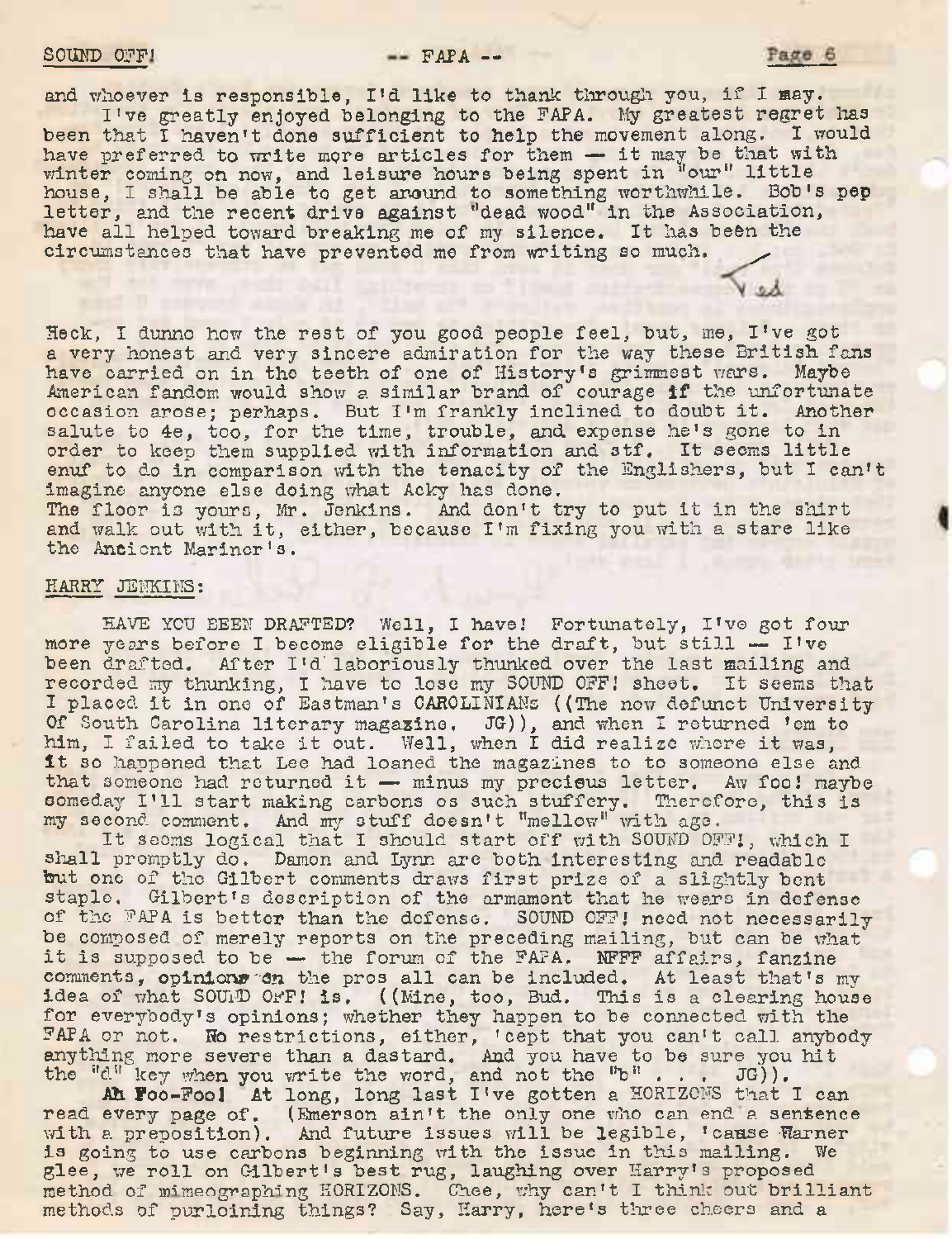## $SOUND$   $O \cdot F!$   $PAPA$   $P-$

Page 6

and whoever is responsible, I'd like to thank through you, if I may. I've greatly enjoyed belonging to the FAPA. My greatest regret lias

been that I haven't done sufficient to help the movement along. I would been that I haven't done sufficient to help the movement along. I wo<br>have preferred to write more articles for them - it may be that with have preferred to write more articles for them - it may be that will<br>winter coming on now, and leisure hours being spent in "our" little house, I shall be able to get around to something worthwhile. Bob's pep letter, and the recent drive against ''dead wood" in the Association, have all helped toward breaking me of my silence. It has been the circumstances that have prevented me from writing so much.

Heck, <sup>I</sup> dunno how the rest of you good people feel, but, me, I've got a very honest and very sincere admiration for the way these British fans have carried on in tho teeth of one of History's grimmest wars. Maybe American fandom would show <sup>a</sup> similar brand of courage if the unfortunate occasion arose; perhaps. But I'<sup>m</sup> frankly inclined to doubt it. Another salute to 4e, too, for the time, trouble, and expense he's gone to in order to keep them supplied with information and stf. It seems little enuf to do in comparison with the tenacity of the Snglishers, but I can't imagine anyone else doing what Acky has done. The floor is yours, Mr. Jenkins. And don't try to put it in the shirt and walk out with it, either, because I'<sup>m</sup> fixing you with <sup>a</sup> stare like the Ancient Mariner's.

## HARRY JENKINS:

HAVE YOU BEEN DRAFTED? Well, I have! Fortunately, I've got four more years before <sup>I</sup> become eligible for the draft, but still — I've been drafted. After I'd'laboriously thunked over the last mailing and recorded my thunking, I have to lose my SOUND OFF! sheet. It seems that recorded my thunking, I have to lose my SOUND OFF! sheet. It seems that<br>I placed it in one of Eastman's CAROLINIANS ((The now defunct University Of South Carolina literary magazine. JO)), and when I returned 'em to Or South Carolina literary magazine. JGJJ, and when I returned 'em thim, I failed to take it out. Well, when I did realize whore it was, It so happened that Lee had loaned the magazines to to someone else and it so happened that Lee had loaned the magazines to to someone else and<br>that someone had returned it — minus my precieus letter. Aw foo! maybe that someone had returned it - minus my precieus letter. Aw foo! mayb<br>someday I'll start making carbons os such stuffery. Therefore, this is someday I'll start making carbons os such stuffery. Therefore, this is my second comment. And my stuff doesn't "mellow" with age.

It seems logical that I should start off with SOUND OFFJ, which I shall promptly do. Damon and Lynn are both interesting and readable hut one of tho Gilbert comments draws first prize of <sup>a</sup> slightly bent staple. Gilbert'<sup>s</sup> description of the armament that he wears in defense of the FAPA is better than the defense. SOUND OFF! need not necessarily be composed of merely reports on the preceding mailing, but can be what it is supposed to be — the forum of the FAPA. NFFF affairs, fanzine comments, opinions"On the pros all can be included. At least that'<sup>s</sup> my idea of what SOUND OFF! is. ((Mine, too, Bud. This is a clearing house for everybody's opinions; whether they happen to be connected with the FAPA or not. No restrictions, either, 'cept that you can't call anybody anything more severe than a dastard. And you have to be sure you hit the "d" key when you write the word, and not the "b" . . .  $JG$ )).

Ah Foo-Fool At long, long last I've gotten <sup>a</sup> HORIZONS that <sup>I</sup> can read every page of. (Emerson ain't the only one who can end a sentence with a preposition). And future issues will be legible, 'cause Warner is going to use carbons beginning with the issue in this mailing. We is going to use carbons beginning with the issue in this mailing.<br>glee, we roll on Gilbert's best rug, laughing over Harry's proposed glee, we foll on cilbert's best fug, laughing over harry's proposed method of mimeographing HORIZONS. Chee, why can't I think out brilliant methods of purloining things? Say, Harry, here's three cheers and a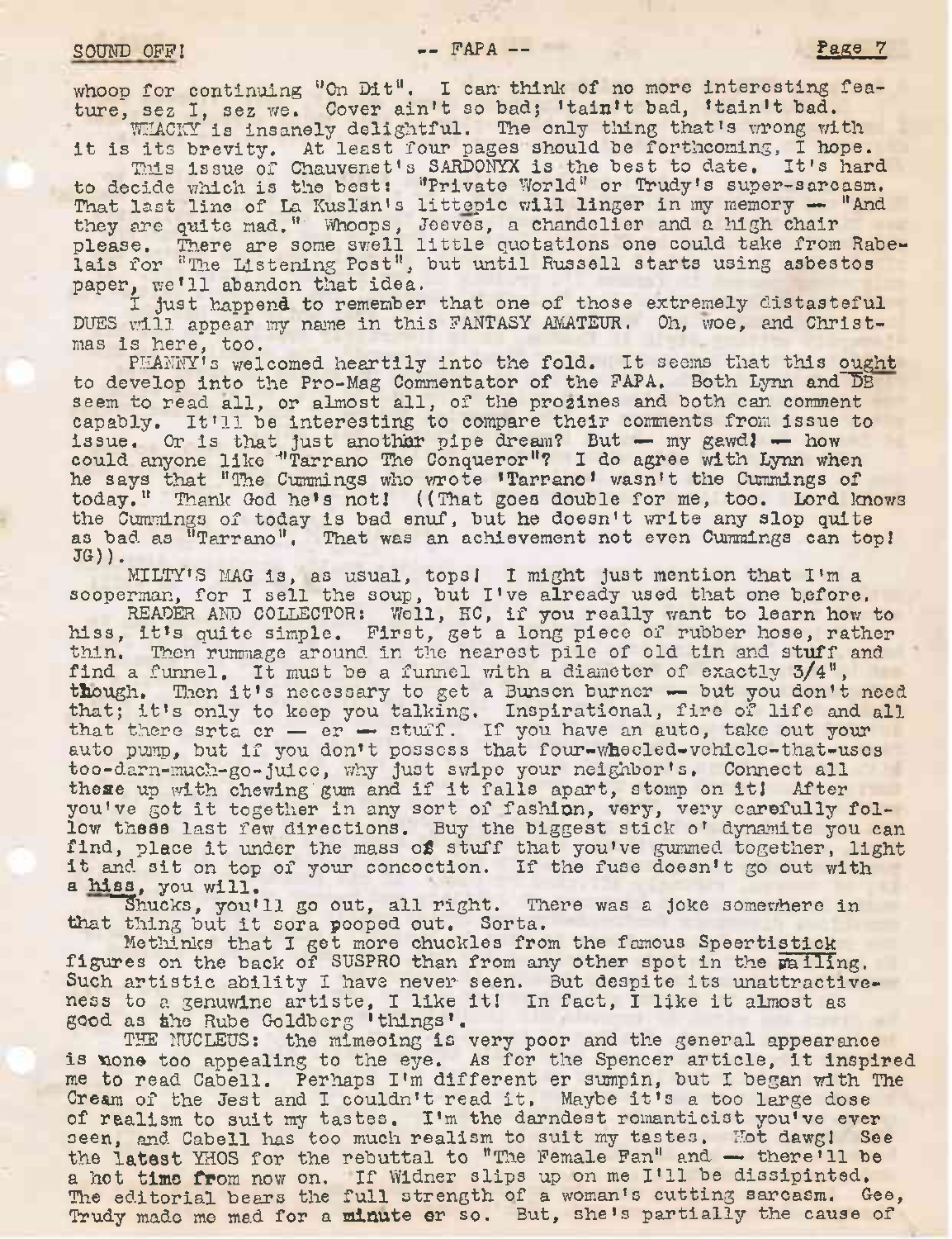whoop for continuing "On Dit". I can think of no more interesting feature, sez I, sez we. Cover ain't so bad; 'tain't bad, 'tain't bad. WHACKY is insanely delightful. The only thing that's wrong with

it is its brevity. At least four pages should be forthcoming, I hope. This issue of Chauvenet's SARDONYX is the best to date. It's hard

to decide which is the best! "Private World" or Trudy'<sup>s</sup> super-sarcasm. That last line of La Kus1an'<sup>s</sup> littepic will linger in my memory — ''And they are quite mad." Whoops, Jeeves, a chandelier and a high chair please. There are some swell little quotations one could take from Rabelais for "The Listening Post", but until Russell starts using asbestos paper, we'll abandon that idea.

I just happend to remember that one of those extremely distasteful DUES will appear my name in this FANTASY AMATEUR. Oh, woe, and Christmas is here, too.

PHANNY's welcomed heartily into the fold. It seems that this ought to develop into the Pro-Mag Commentator of the FAPA. Both Lynn and DB seem to read all, or almost all, of the prozines and both can comment capably. It'll be interesting to compare their comments from issue to issue. Or is that just another pipe dream? But — my gawd! — how could anyone like '"Tarrano The Conqueror"? I do agree with Lynn when he says that "The Cummings who wrote 'Tarrano' wasn't the Cummings of today." Thank God he's not! ((That goes double for me, too. Lord knows the Cummings of today is bad enuf, but he doesn't write any slop quite as bad as "Tarrano". That was an achievement not even Cummings can top!  $J(G)$ ).

MILTY'<sup>S</sup> MAG is, as usual, tops! <sup>I</sup> might just mention that I'<sup>m</sup> <sup>a</sup> MILIT'S MAG is, as usual, tops! I might just mention that I'm a sooperman, for I sell the soup, but I've already used that one before.

READER AND COLLECTOR: Well, HC, if you really want to learn how to hiss, it'<sup>s</sup> quite simple. First, get <sup>a</sup> long piece of rubber hose, rather thin. Then rummage around in the nearest pile of old tin and stuff and find <sup>a</sup> funnel. It must be <sup>a</sup> funnel with <sup>a</sup> diameter of exactly 3/4", though. Then it'<sup>s</sup> necessary to get <sup>a</sup> Bunsen burner •— but you don't need that; it'<sup>s</sup> only to keep you talking. Inspirational, fire of life and all that there srta  $cr - er - str$  stuff. If you have an auto, take out your auto pump, but if you don't possess that four-wheeled-vehicle-that-uscs too-darn-much-go-juice, why just swipe your neighbor's, Connect all these up with chewing gum and if it falls apart, stomp on it! After you've got it together in any sort of fashion, very, very carefully follow these last few directions. Buy the biggest stick o' dynamite you can find, place it under the mass of stuff that you've gummed together, light rind, place it under the mass of stuff that you've gummed together, li<br>it and sit on top of your concoction. If the fuse doesn't go out with a hiss, you will.

Shucks, you'll go out, all right. There was a joke somewhere in that thing but it sora pooped out. Sorta.

Methinks that I get more chuckles from the famous Speertistick figures on the back of SUSPRO than from any other spot in the mailing. Such artistic ability I have never seen. But despite its unattractiveness to a genuwine artiste, I like it! In fact, I like it almost as good as the Rube Goldberg 'tilings'.

THE NUCLEUS: the mimeoing is very poor and the general appearance is none too appealing to the eye. As for the Spencer article, it inspired is none too appealing to the eye. As for the Spencer article, it inspire<br>me to read Cabell. Perhaps I'm different er sumpin, but I began with The me to read Cabell. Perhaps I'm different er sumpin, but I began with Cream of the Jest and I couldn't read it. Maybe it's a too large dose Cream of the Jest and I couldn't read it. Maybe it's a too large dose of realism to suit my tastes. I'm the darndest romanticist you've ever seen, and Cabell has too much realism to suit my tastes. Hot dawg! See the latest YHOS for the rebuttal to "The Female Fan" and — there'll be <sup>a</sup> hot time from now on. If Widner slips up on me I'll be dissipinted. The editorial bears the full strength of a woman's cutting sarcasm. Gee, Trudy made me mad for a minute er so. But, she's partially the cause of